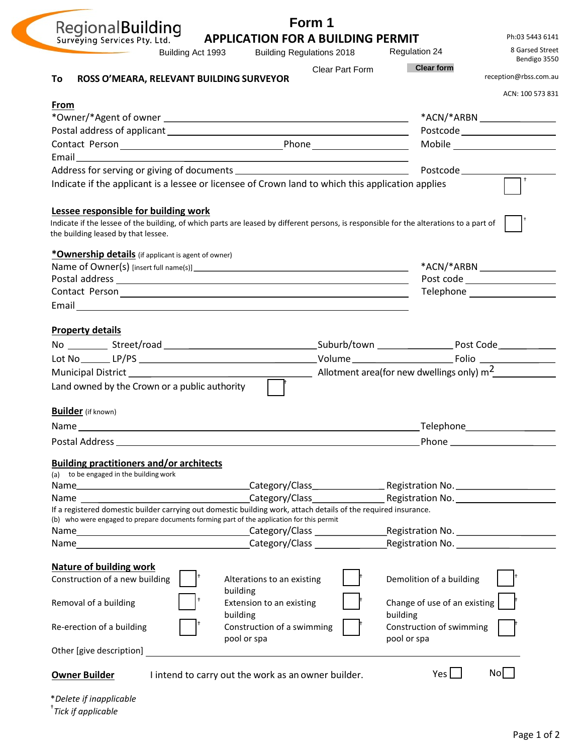

## **Form 1 APPLICATION FOR A BUILDING PERMIT**

| 1.291<br>Surveying Services Pty. Ltd.                                                                                                                                                                                          | <b>APPLICATION FOR A BUILDING PERMIT</b>                                                                                                |                                  |                                      | Ph:03 5443 6141                 |
|--------------------------------------------------------------------------------------------------------------------------------------------------------------------------------------------------------------------------------|-----------------------------------------------------------------------------------------------------------------------------------------|----------------------------------|--------------------------------------|---------------------------------|
|                                                                                                                                                                                                                                | Building Act 1993                                                                                                                       | <b>Building Regulations 2018</b> | <b>Regulation 24</b>                 | 8 Garsed Street<br>Bendigo 3550 |
|                                                                                                                                                                                                                                |                                                                                                                                         | Clear Part Form                  | <b>Clear form</b>                    | reception@rbss.com.au           |
| To                                                                                                                                                                                                                             | ROSS O'MEARA, RELEVANT BUILDING SURVEYOR                                                                                                |                                  |                                      |                                 |
| From                                                                                                                                                                                                                           |                                                                                                                                         |                                  |                                      | ACN: 100 573 831                |
|                                                                                                                                                                                                                                |                                                                                                                                         |                                  |                                      | *ACN/*ARBN _________________    |
|                                                                                                                                                                                                                                |                                                                                                                                         |                                  |                                      | Postcode ____________________   |
|                                                                                                                                                                                                                                |                                                                                                                                         |                                  |                                      |                                 |
|                                                                                                                                                                                                                                |                                                                                                                                         |                                  |                                      |                                 |
|                                                                                                                                                                                                                                |                                                                                                                                         |                                  |                                      | Postcode_____________________   |
|                                                                                                                                                                                                                                | Indicate if the applicant is a lessee or licensee of Crown land to which this application applies                                       |                                  |                                      | 1 <sup>†</sup>                  |
| Lessee responsible for building work<br>the building leased by that lessee.                                                                                                                                                    | Indicate if the lessee of the building, of which parts are leased by different persons, is responsible for the alterations to a part of |                                  |                                      |                                 |
| *Ownership details (if applicant is agent of owner)                                                                                                                                                                            |                                                                                                                                         |                                  |                                      |                                 |
|                                                                                                                                                                                                                                |                                                                                                                                         |                                  |                                      | $*ACN/*ARBN$                    |
|                                                                                                                                                                                                                                |                                                                                                                                         |                                  |                                      | Post code ____________________  |
|                                                                                                                                                                                                                                |                                                                                                                                         |                                  |                                      | Telephone _____________________ |
|                                                                                                                                                                                                                                |                                                                                                                                         |                                  |                                      |                                 |
| <b>Property details</b>                                                                                                                                                                                                        |                                                                                                                                         |                                  |                                      |                                 |
|                                                                                                                                                                                                                                |                                                                                                                                         |                                  |                                      |                                 |
|                                                                                                                                                                                                                                |                                                                                                                                         |                                  |                                      |                                 |
|                                                                                                                                                                                                                                |                                                                                                                                         |                                  |                                      |                                 |
| Land owned by the Crown or a public authority                                                                                                                                                                                  |                                                                                                                                         |                                  |                                      |                                 |
| <b>Builder</b> (if known)                                                                                                                                                                                                      |                                                                                                                                         |                                  |                                      |                                 |
|                                                                                                                                                                                                                                |                                                                                                                                         |                                  |                                      |                                 |
|                                                                                                                                                                                                                                |                                                                                                                                         |                                  |                                      |                                 |
|                                                                                                                                                                                                                                |                                                                                                                                         |                                  |                                      | Phone ________________________  |
| <b>Building practitioners and/or architects</b><br>(a) to be engaged in the building work                                                                                                                                      |                                                                                                                                         |                                  |                                      |                                 |
|                                                                                                                                                                                                                                |                                                                                                                                         |                                  |                                      |                                 |
|                                                                                                                                                                                                                                |                                                                                                                                         |                                  |                                      |                                 |
|                                                                                                                                                                                                                                | If a registered domestic builder carrying out domestic building work, attach details of the required insurance.                         |                                  |                                      |                                 |
|                                                                                                                                                                                                                                | (b) who were engaged to prepare documents forming part of the application for this permit                                               |                                  |                                      |                                 |
|                                                                                                                                                                                                                                |                                                                                                                                         |                                  |                                      |                                 |
| Name and the contract of the contract of the contract of the contract of the contract of the contract of the contract of the contract of the contract of the contract of the contract of the contract of the contract of the c |                                                                                                                                         |                                  |                                      |                                 |
| <b>Nature of building work</b>                                                                                                                                                                                                 |                                                                                                                                         |                                  |                                      |                                 |
| Construction of a new building                                                                                                                                                                                                 | Alterations to an existing                                                                                                              |                                  | Demolition of a building             |                                 |
|                                                                                                                                                                                                                                | building                                                                                                                                |                                  |                                      |                                 |
| Removal of a building                                                                                                                                                                                                          | Extension to an existing                                                                                                                |                                  | Change of use of an existing         |                                 |
| Re-erection of a building                                                                                                                                                                                                      | building<br>Construction of a swimming                                                                                                  |                                  | building<br>Construction of swimming |                                 |

pool or spa

pool or spa

Other [give description]

† *Tick if applicable*